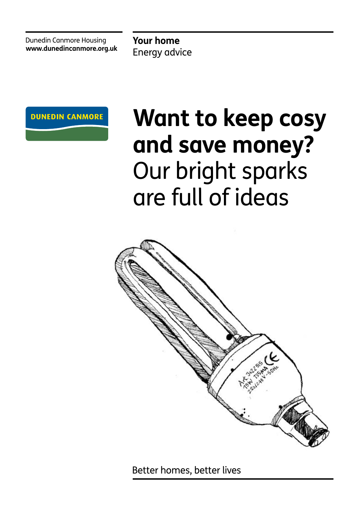Dunedin Canmore Housing **www.dunedincanmore.org.uk**

**Your home** Energy advice



# **Want to keep cosy and save money?** Our bright sparks are full of ideas



Better homes, better lives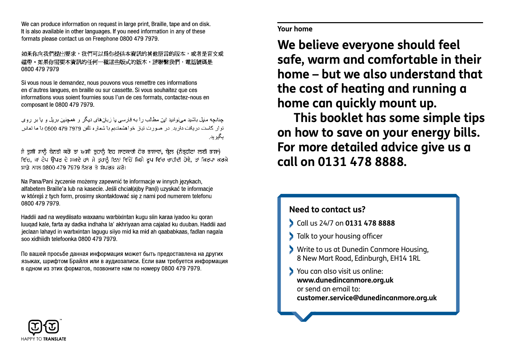We can produce information on request in large print, Braille, tape and on disk. It is also available in other languages. If you need information in any of these formats please contact us on Freephone 0800 479 7979.

如果你向我們提出要求,我們可以為你提供本資訊的其他語言的版本,或者是盲文或 磁帶。如果你需要本資訊的任何一種這些版式的版本,請聯繫我們,電話號碼是 0800 479 7979

Si vous nous le demandez, nous pouvons vous remettre ces informations en d'autres langues, en braille ou sur cassette. Si vous souhaitez que ces informations vous soient fournies sous l'un de ces formats, contactez-nous en composant le 0800 479 7979.

جنانچه مغل پاشید می توانید این مطالب را به فارسی با زبان های دیگر او اهمچنین بریل و با بر اروی نوار كاست دریافت دارید. در صورت نیاز خواهشمندیم با شماره نلفن 7979 479 0800 با ما تماس ابگیر پدر

ਜੇ ਤੁਸੀਂ ਸਾਨੂੰ ਬੇਨਤੀ ਕਰੋਂ ਤਾਂ ਅਸੀਂ ਤੁਹਾਨੂੰ ਇਹ ਜਾਣਕਾਰੀ ਹੋਰ ਭਾਸ਼ਾਵਾਂ, ਬ੍ਰੇਲ (ਨੇਤੁਹੀਣਾਂ ਲਈ ਭਾਸ਼ਾ) ਵਿੱਚ, ਜਾਂ ਟੇਪ ਉਪਰ ਦੇ ਸਕਦੇ ਹਾਂ। ਜੇ ਤੁਹਾਨੂੰ ਇਨ੍ਹਾਂ ਵਿੱਚੋਂ ਕਿਸੇ ਰੂਪ ਵਿੱਚ ਚਾਹੀਦੀ ਹੋਵੇ, ਤਾਂ ਕਿਰਪਾ ਕਰਕੇ ਸਾਡੇ ਨਾਲ 0800 479 7979 ਨੰਬਰ ਤੇ ਸੰਪਰਕ ਕਰੋ।

Na Pana/Pani życzenie możemy zapewnić te informacje w innych jezykach. alfabetem Braille'a lub na kasecie. Jeśli chciał(a)by Pan(i) uzyskać te informacie w którejś z tych form, prosimy skontaktować się z nami pod numerem telefonu 0800 479 7979

Haddii aad na weydiisato waxaanu warbixintan kugu siin karaa iyadoo ku qoran luugad kale, farta ay dadka indhaha la' akhriyaan ama cajalad ku duuban. Haddii aad jeclaan lahayd in warbxintan lagugu siiyo mid ka mid ah gaababkaas, fadlan nagala soo xidhiidh telefoonka 0800 479 7979.

По вашей просьбе данная информация может быть предоставлена на других языках, шрифтом Брайля или в аудиозаписи. Если вам требуется информация в одном из этих форматов, позвоните нам по номеру 0800 479 7979.

### **The same energy and money with what we can help you with what we can help you with what we can help you with what with Your home 1. Draught excluding the losing heat through excluding heat through excluding heat through excluding heat through**  $\sim$

We believe everyone should feel  $w = mc$  and  $a$  and  $w = mc$  in their safe, warm and comfortable in their **home – but we also understand that** the cost of heating and running a con quickly mount un home can quickly mount up. eneve everyone should reet ost or neuting und running a  $\mathbf{r}$  can quiently mount up.

£3 per year and turning off your lights when you're not in **This booklet has some simple tips**  a room could save you are said. **3. Turn it off** – try not to leave unnecessary lights on or For more detailed advice give us a call on 0131 478 8888.  $t_{\rm max}$  systems. Some satisfies and digital TV recorders however however however however however  $\frac{1}{2}$ on how to save on your energy bills. w to suve on your ellergy bills. the secure satellite and digital TV recorders however

### **By remembering to turn off appliances left on standby you Need to contact us? 4. Kitchen tips** – you can save over £55 a year just by being

- call us 24/7 on **0131 478 8888** can be following tips can be found to form the following tips can be found to for
- **4. Kitchen tips** you can save over £55 a year just by being  $\blacksquare$  Talk to your housing officer
- $\theta$  Write to us at Dunedin Canmore Housing, 8 New Mart Road, Edinburgh, EH14 1RL

**could save between**  $\mathcal{S}_{\mathcal{A}}$  **and**  $\mathcal{S}_{\mathcal{B}}$  **per year.** 

 $\mathbf{r} = \mathbf{r} \cdot \mathbf{r}$  set your wash at 30°C set  $\mathbf{r} = \mathbf{r} \cdot \mathbf{r}$  $\bullet$  You can also visit us online: www.dunedincanmore.org.uk or send an email to: **FIRM AND LITE A HEAD CONCRETE A SHOWER THE SHOWER SHOWER SHOWER SHOWER SHOWER SHOWER SHOWER SHOWER SHOWER SHOWER SHOWER SHOWER SHOWER SHOWER SHOWER SHOWER SHOWER SHOWER SHOWER SHOWER SHOWER SHOWER SHOWER SHOWER SHOWER SHO** straight free automourned corgan

 **5. Get a head** – if you've got a shower that takes hot water straight from your boiler or hot water tank (rather than an

electric shower  $\epsilon$  shower in the able to fit a water-effect a water-effect a water-effect a water-effect a watershower head and that could reduce your hot water usage

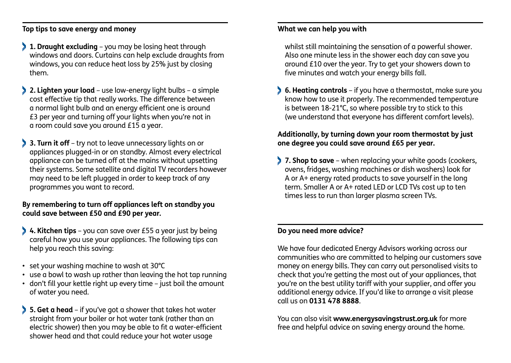**Top tips to save energy and money What we can help you with Top tips to save energy and money What we can help you with**

- **1. Draught excluding** you may be losing heat through **1. Draught excluding** you may be losing heat through windows and doors. Curtains can help exclude draughts from windows and doors. Curtains can help exclude draughts from windows, you can reduce heat loss by 25% just by closing windows, you can reduce heat loss by 25% just by closing them.
- **2. Lighten your load**  use low-energy light bulbs a simple **2. Lighten your load**  use low-energy light bulbs a simple cost effective tip that really works. The difference between cost effective tip that really works. The difference between a normal light bulb and an energy efficient one is around a normal light bulb and an energy efficient one is around £3 per year and turning off your lights when you're not in £3 per year and turning off your lights when you're not in a room could save you around £15 a year. a room could save you around £15 a year.
- **3. Turn it off** try not to leave unnecessary lights on or **3. Turn it off** try not to leave unnecessary lights on or appliances plugged-in or on standby. Almost every electrical appliances plugged-in or on standby. Almost every electrical appliance can be turned off at the mains without upsetting appliance can be turned off at the mains without upsetting their systems. Some satellite and digital TV recorders however their systems. Some satellite and digital TV recorders however may need to be left plugged in order to keep track of any may need to be left plugged in order to keep track of any programmes you want to record. programmes you want to record.

# **By remembering to turn off appliances left on standby you By remembering to turn off appliances left on standby you could save between £50 and £90 per year. could save between £50 and £90 per year.**

- **4. Kitchen tips** you can save over £55 a year just by being **4. Kitchen tips** you can save over £55 a year just by being careful how you use your appliances. The following tips can careful how you use your appliances. The following tips can help you reach this saving: help you reach this saving:
- set your washing machine to wash at 30°C set your washing machine to wash at 30°C
- use a bowl to wash up rather than leaving the hot tap running use a bowl to wash up rather than leaving the hot tap running
- don't fill your kettle right up every time just boil the amount don't fill your kettle right up every time just boil the amount of water you need. of water you need.
- **5. Get a head**  if you've got a shower that takes hot water **5. Get a head**  if you've got a shower that takes hot water straight from your boiler or hot water tank (rather than an straight from your boiler or hot water tank (rather than an electric shower) then you may be able to fit a water-efficient electric shower) then you may be able to fit a water-efficient shower head and that could reduce your hot water usage shower head and that could reduce your hot water usage

whilst still maintaining the sensation of a powerful shower. whilst still maintaining the sensation of a powerful shower. Also one minute less in the shower each day can save you Also one minute less in the shower each day can save you around £10 over the year. Try to get your showers down to around £10 over the year. Try to get your showers down to five minutes and watch your energy bills fall. five minutes and watch your energy bills fall.

 **6. Heating controls** – if you have a thermostat, make sure you **6. Heating controls** – if you have a thermostat, make sure you know how to use it properly. The recommended temperature know how to use it properly. The recommended temperature is between 18-21°C, so where possible try to stick to this is between 18-21°C, so where possible try to stick to this (we understand that everyone has different comfort levels). (we understand that everyone has different comfort levels).

## **Additionally, by turning down your room thermostat by just Additionally, by turning down your room thermostat by just one degree you could save around £65 per year. one degree you could save around £65 per year.**

 **7. Shop to save** – when replacing your white goods (cookers, **7. Shop to save** – when replacing your white goods (cookers, ovens, fridges, washing machines or dish washers) look for ovens, fridges, washing machines or dish washers) look for A or A+ energy rated products to save yourself in the long A or A+ energy rated products to save yourself in the long term. Smaller A or A+ rated LED or LCD TVs cost up to ten times less to run than larger plasma screen TVs. times less to run than larger plasma screen TVs.

### **Do you need more advice? Do you need more advice?**

We have four dedicated Energy Advisors working across our We have four dedicated Energy Advisors working across our communities who are committed to helping our customers save communities who are committed to helping our customers save money on energy bills. They can carry out personalised visits to money on energy bills. They can carry out personalised visits to check that you're getting the most out of your appliances, that check that you're getting the most out of your appliances, that you're on the best utility tariff with your supplier, and offer you you're on the best utility tariff with your supplier, and offer you additional energy advice. If you'd like to arrange a visit please additional energy advice. If you'd like to arrange a visit please call us on **0131 478 8888**. call us on **0131 478 8888**.

You can also visit **www.energysavingstrust.org.uk** for more You can also visit **www.energysavingstrust.org.uk** for more free and helpful advice on saving energy around the home. free and helpful advice on saving energy around the home.